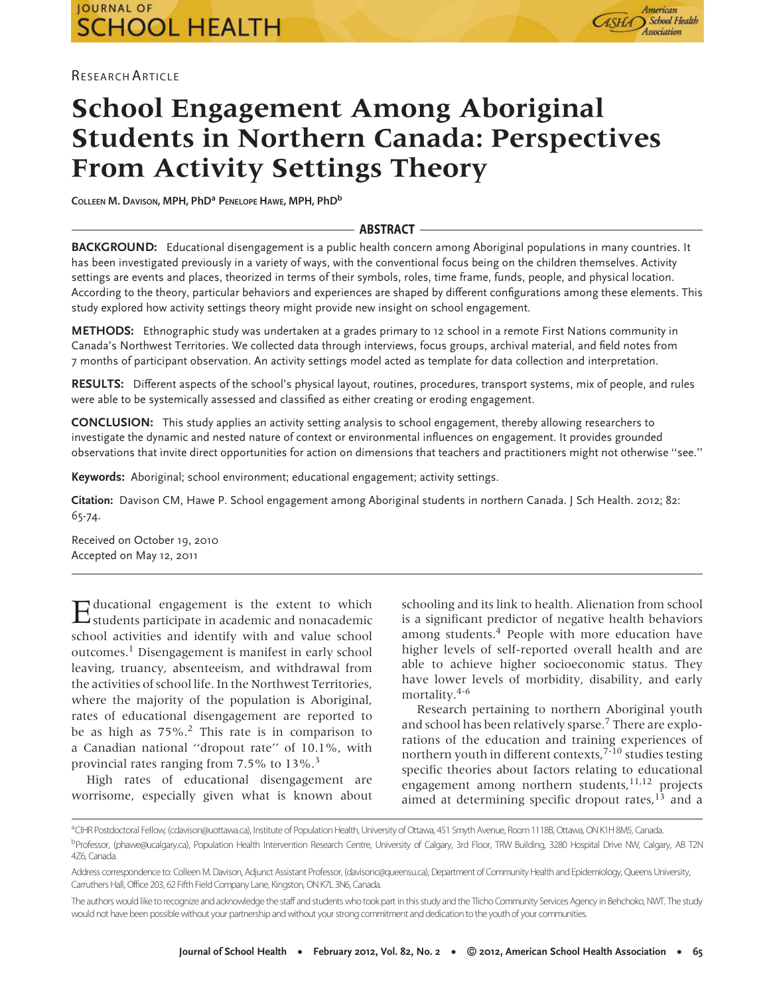## **JOURNAL OF SCHOOL HEALTH**

RESEARCH ARTICLE

## **School Engagement Among Aboriginal Students in Northern Canada: Perspectives From Activity Settings Theory**

**COLLEEN M. DAVISON, MPH, PhDa PENELOPE HAWE, MPH, PhDb**

## **ABSTRACT**

**BACKGROUND:** Educational disengagement is a public health concern among Aboriginal populations in many countries. It has been investigated previously in a variety of ways, with the conventional focus being on the children themselves. Activity settings are events and places, theorized in terms of their symbols, roles, time frame, funds, people, and physical location. According to the theory, particular behaviors and experiences are shaped by different configurations among these elements. This study explored how activity settings theory might provide new insight on school engagement.

**METHODS:** Ethnographic study was undertaken at a grades primary to 12 school in a remote First Nations community in Canada's Northwest Territories. We collected data through interviews, focus groups, archival material, and field notes from 7 months of participant observation. An activity settings model acted as template for data collection and interpretation.

**RESULTS:** Different aspects of the school's physical layout, routines, procedures, transport systems, mix of people, and rules were able to be systemically assessed and classified as either creating or eroding engagement.

**CONCLUSION:** This study applies an activity setting analysis to school engagement, thereby allowing researchers to investigate the dynamic and nested nature of context or environmental influences on engagement. It provides grounded observations that invite direct opportunities for action on dimensions that teachers and practitioners might not otherwise ''see.''

**Keywords:** Aboriginal; school environment; educational engagement; activity settings.

**Citation:** Davison CM, Hawe P. School engagement among Aboriginal students in northern Canada. J Sch Health. 2012; 82: 65-74.

Received on October 19, 2010 Accepted on May 12, 2011

Educational engagement is the extent to which students participate in academic and nonacademic school activities and identify with and value school outcomes.<sup>1</sup> Disengagement is manifest in early school leaving, truancy, absenteeism, and withdrawal from the activities of school life. In the Northwest Territories, where the majority of the population is Aboriginal, rates of educational disengagement are reported to be as high as  $75\%$ .<sup>2</sup> This rate is in comparison to a Canadian national ''dropout rate'' of 10.1%, with provincial rates ranging from  $7.5\%$  to  $13\%$ .<sup>3</sup>

High rates of educational disengagement are worrisome, especially given what is known about schooling and its link to health. Alienation from school is a significant predictor of negative health behaviors among students.4 People with more education have higher levels of self-reported overall health and are able to achieve higher socioeconomic status. They have lower levels of morbidity, disability, and early mortality.4-6

American ASHA School Health

Acoriation

Research pertaining to northern Aboriginal youth and school has been relatively sparse.<sup>7</sup> There are explorations of the education and training experiences of northern youth in different contexts, $7-10$  studies testing specific theories about factors relating to educational engagement among northern students, $11,12$  projects aimed at determining specific dropout rates, $^{13}$  and a

aCIHR Postdoctoral Fellow, (cdavison@uottawa.ca), Institute of Population Health, University of Ottawa, 451 Smyth Avenue, Room 1118B, Ottawa, ON K1H 8M5, Canada. bProfessor, (phawe@ucalgary.ca), Population Health Intervention Research Centre, University of Calgary, 3rd Floor, TRW Building, 3280 Hospital Drive NW, Calgary, AB T2N 4Z6, Canada.

Address correspondence to: Colleen M. Davison, Adjunct Assistant Professor, (davisonc@queensu.ca), Department of Community Health and Epidemiology, Queens University, Carruthers Hall, Office 203, 62 Fifth Field Company Lane, Kingston, ONK7L 3N6, Canada.

The authors would like torecognize and acknowledge the staff and students who took part in this study and the Tlicho Community Services Agency in Behchoko, NWT. The study would not have been possible without your partnership and without your strong commitment and dedication to the youth of your communities.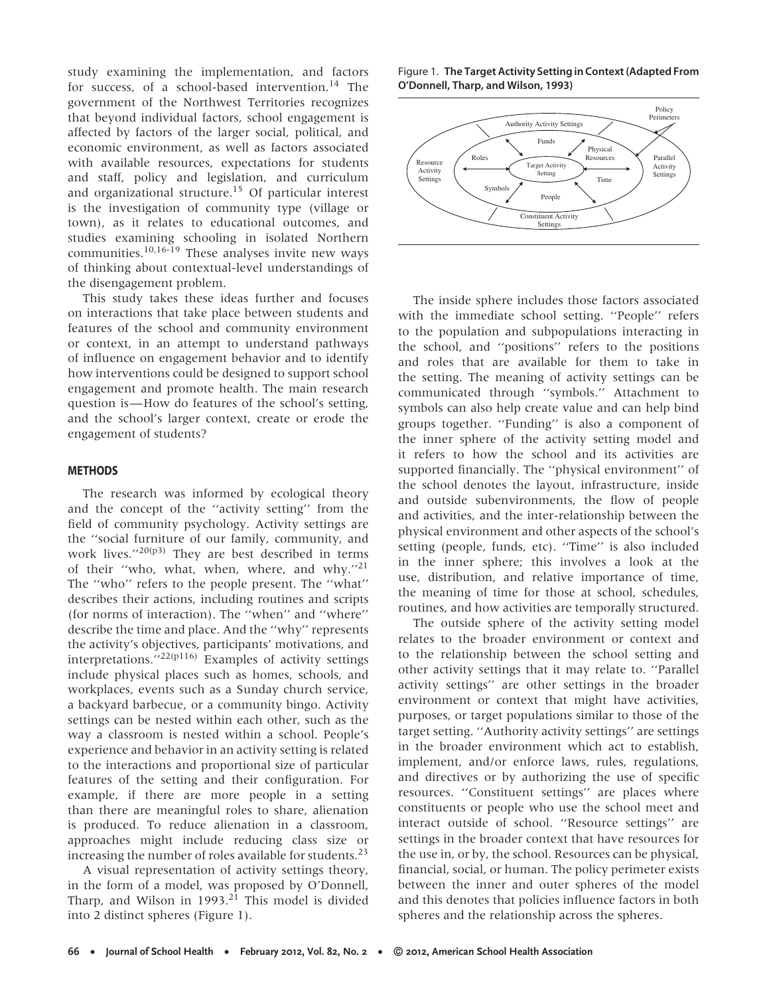study examining the implementation, and factors for success, of a school-based intervention.<sup>14</sup> The government of the Northwest Territories recognizes that beyond individual factors, school engagement is affected by factors of the larger social, political, and economic environment, as well as factors associated with available resources, expectations for students and staff, policy and legislation, and curriculum and organizational structure.<sup>15</sup> Of particular interest is the investigation of community type (village or town), as it relates to educational outcomes, and studies examining schooling in isolated Northern communities.10,16-19 These analyses invite new ways of thinking about contextual-level understandings of the disengagement problem.

This study takes these ideas further and focuses on interactions that take place between students and features of the school and community environment or context, in an attempt to understand pathways of influence on engagement behavior and to identify how interventions could be designed to support school engagement and promote health. The main research question is—How do features of the school's setting, and the school's larger context, create or erode the engagement of students?

#### **METHODS**

The research was informed by ecological theory and the concept of the ''activity setting'' from the field of community psychology. Activity settings are the ''social furniture of our family, community, and work lives.''20*(*p3*)* They are best described in terms of their ''who, what, when, where, and why.''21 The ''who'' refers to the people present. The ''what'' describes their actions, including routines and scripts (for norms of interaction). The ''when'' and ''where'' describe the time and place. And the ''why'' represents the activity's objectives, participants' motivations, and interpretations.''22*(*p116*)* Examples of activity settings include physical places such as homes, schools, and workplaces, events such as a Sunday church service, a backyard barbecue, or a community bingo. Activity settings can be nested within each other, such as the way a classroom is nested within a school. People's experience and behavior in an activity setting is related to the interactions and proportional size of particular features of the setting and their configuration. For example, if there are more people in a setting than there are meaningful roles to share, alienation is produced. To reduce alienation in a classroom, approaches might include reducing class size or increasing the number of roles available for students.<sup>23</sup>

A visual representation of activity settings theory, in the form of a model, was proposed by O'Donnell, Tharp, and Wilson in 1993.<sup>21</sup> This model is divided into 2 distinct spheres (Figure 1).

Figure 1. **The Target Activity Setting in Context (Adapted From O'Donnell, Tharp, and Wilson, 1993)**



The inside sphere includes those factors associated with the immediate school setting. ''People'' refers to the population and subpopulations interacting in the school, and ''positions'' refers to the positions and roles that are available for them to take in the setting. The meaning of activity settings can be communicated through ''symbols.'' Attachment to symbols can also help create value and can help bind groups together. ''Funding'' is also a component of the inner sphere of the activity setting model and it refers to how the school and its activities are supported financially. The ''physical environment'' of the school denotes the layout, infrastructure, inside and outside subenvironments, the flow of people and activities, and the inter-relationship between the physical environment and other aspects of the school's setting (people, funds, etc). ''Time'' is also included in the inner sphere; this involves a look at the use, distribution, and relative importance of time, the meaning of time for those at school, schedules, routines, and how activities are temporally structured.

The outside sphere of the activity setting model relates to the broader environment or context and to the relationship between the school setting and other activity settings that it may relate to. ''Parallel activity settings'' are other settings in the broader environment or context that might have activities, purposes, or target populations similar to those of the target setting. ''Authority activity settings'' are settings in the broader environment which act to establish, implement, and/or enforce laws, rules, regulations, and directives or by authorizing the use of specific resources. ''Constituent settings'' are places where constituents or people who use the school meet and interact outside of school. ''Resource settings'' are settings in the broader context that have resources for the use in, or by, the school. Resources can be physical, financial, social, or human. The policy perimeter exists between the inner and outer spheres of the model and this denotes that policies influence factors in both spheres and the relationship across the spheres.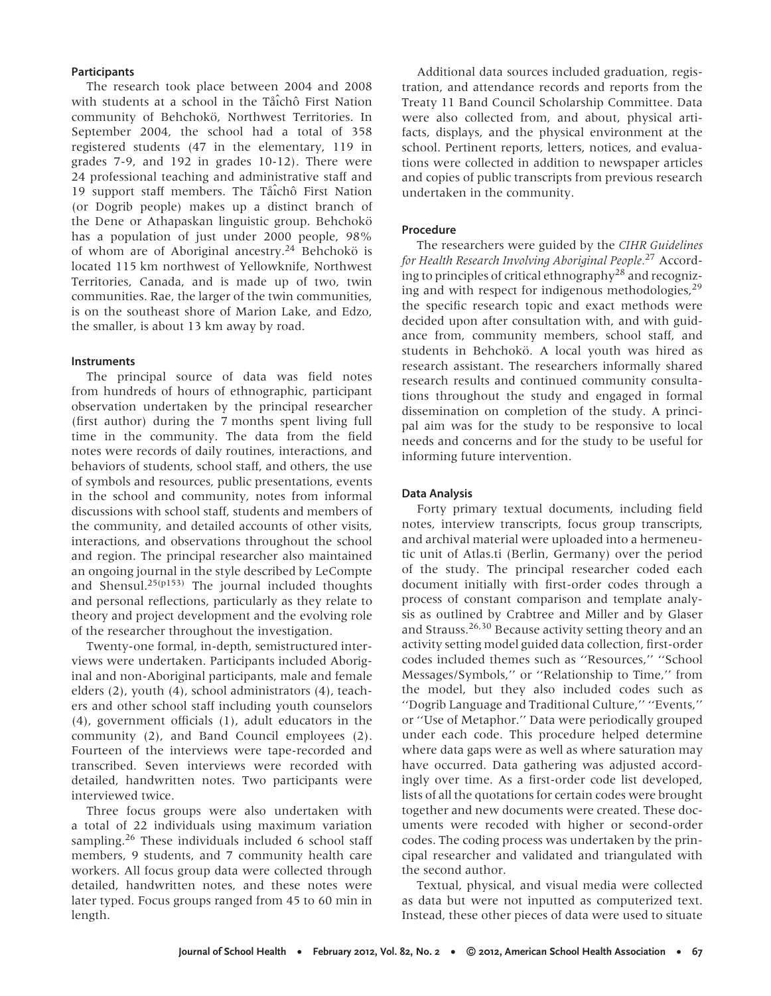#### **Participants**

The research took place between 2004 and 2008 with students at a school in the Taîchô First Nation community of Behchokö, Northwest Territories. In September 2004, the school had a total of 358 registered students (47 in the elementary, 119 in grades 7-9, and 192 in grades 10-12). There were 24 professional teaching and administrative staff and 19 support staff members. The Taîchô First Nation (or Dogrib people) makes up a distinct branch of the Dene or Athapaskan linguistic group. Behchokö has a population of just under 2000 people, 98% of whom are of Aboriginal ancestry.<sup>24</sup> Behchoko is located 115 km northwest of Yellowknife, Northwest Territories, Canada, and is made up of two, twin communities. Rae, the larger of the twin communities, is on the southeast shore of Marion Lake, and Edzo, the smaller, is about 13 km away by road.

#### **Instruments**

The principal source of data was field notes from hundreds of hours of ethnographic, participant observation undertaken by the principal researcher (first author) during the 7 months spent living full time in the community. The data from the field notes were records of daily routines, interactions, and behaviors of students, school staff, and others, the use of symbols and resources, public presentations, events in the school and community, notes from informal discussions with school staff, students and members of the community, and detailed accounts of other visits, interactions, and observations throughout the school and region. The principal researcher also maintained an ongoing journal in the style described by LeCompte and Shensul.25*(*p153*)* The journal included thoughts and personal reflections, particularly as they relate to theory and project development and the evolving role of the researcher throughout the investigation.

Twenty-one formal, in-depth, semistructured interviews were undertaken. Participants included Aboriginal and non-Aboriginal participants, male and female elders (2), youth (4), school administrators (4), teachers and other school staff including youth counselors (4), government officials (1), adult educators in the community (2), and Band Council employees (2). Fourteen of the interviews were tape-recorded and transcribed. Seven interviews were recorded with detailed, handwritten notes. Two participants were interviewed twice.

Three focus groups were also undertaken with a total of 22 individuals using maximum variation sampling.<sup>26</sup> These individuals included 6 school staff members, 9 students, and 7 community health care workers. All focus group data were collected through detailed, handwritten notes, and these notes were later typed. Focus groups ranged from 45 to 60 min in length.

Additional data sources included graduation, registration, and attendance records and reports from the Treaty 11 Band Council Scholarship Committee. Data were also collected from, and about, physical artifacts, displays, and the physical environment at the school. Pertinent reports, letters, notices, and evaluations were collected in addition to newspaper articles and copies of public transcripts from previous research undertaken in the community.

#### **Procedure**

The researchers were guided by the *CIHR Guidelines for Health Research Involving Aboriginal People.*<sup>27</sup> According to principles of critical ethnography28 and recognizing and with respect for indigenous methodologies, $^{29}$ the specific research topic and exact methods were decided upon after consultation with, and with guidance from, community members, school staff, and students in Behchokö. A local youth was hired as research assistant. The researchers informally shared research results and continued community consultations throughout the study and engaged in formal dissemination on completion of the study. A principal aim was for the study to be responsive to local needs and concerns and for the study to be useful for informing future intervention.

#### **Data Analysis**

Forty primary textual documents, including field notes, interview transcripts, focus group transcripts, and archival material were uploaded into a hermeneutic unit of Atlas.ti (Berlin, Germany) over the period of the study. The principal researcher coded each document initially with first-order codes through a process of constant comparison and template analysis as outlined by Crabtree and Miller and by Glaser and Strauss.26,30 Because activity setting theory and an activity setting model guided data collection, first-order codes included themes such as ''Resources,'' ''School Messages/Symbols,'' or ''Relationship to Time,'' from the model, but they also included codes such as ''Dogrib Language and Traditional Culture,'' ''Events,'' or ''Use of Metaphor.'' Data were periodically grouped under each code. This procedure helped determine where data gaps were as well as where saturation may have occurred. Data gathering was adjusted accordingly over time. As a first-order code list developed, lists of all the quotations for certain codes were brought together and new documents were created. These documents were recoded with higher or second-order codes. The coding process was undertaken by the principal researcher and validated and triangulated with the second author.

Textual, physical, and visual media were collected as data but were not inputted as computerized text. Instead, these other pieces of data were used to situate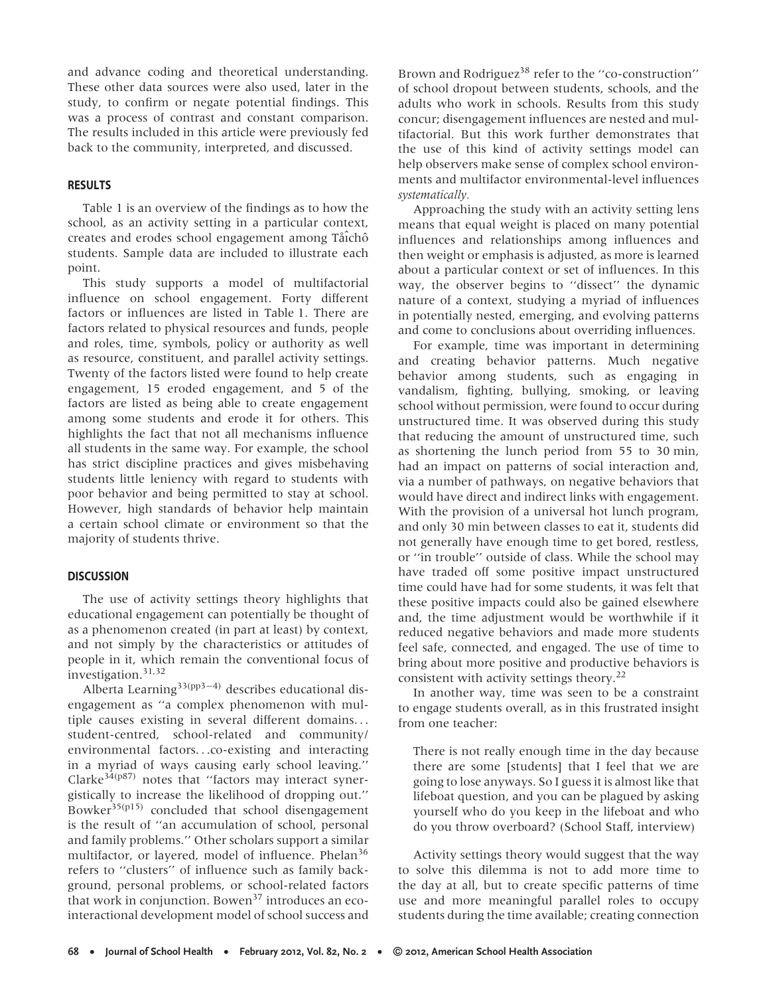and advance coding and theoretical understanding. These other data sources were also used, later in the study, to confirm or negate potential findings. This was a process of contrast and constant comparison. The results included in this article were previously fed back to the community, interpreted, and discussed.

### **RESULTS**

Table 1 is an overview of the findings as to how the school, as an activity setting in a particular context, creates and erodes school engagement among Tåîchô students. Sample data are included to illustrate each point.

This study supports a model of multifactorial influence on school engagement. Forty different factors or influences are listed in Table 1. There are factors related to physical resources and funds, people and roles, time, symbols, policy or authority as well as resource, constituent, and parallel activity settings. Twenty of the factors listed were found to help create engagement, 15 eroded engagement, and 5 of the factors are listed as being able to create engagement among some students and erode it for others. This highlights the fact that not all mechanisms influence all students in the same way. For example, the school has strict discipline practices and gives misbehaving students little leniency with regard to students with poor behavior and being permitted to stay at school. However, high standards of behavior help maintain a certain school climate or environment so that the majority of students thrive.

#### **DISCUSSION**

The use of activity settings theory highlights that educational engagement can potentially be thought of as a phenomenon created (in part at least) by context, and not simply by the characteristics or attitudes of people in it, which remain the conventional focus of investigation.31,32

Alberta Learning33*(*pp3−4*)* describes educational disengagement as ''a complex phenomenon with multiple causes existing in several different domains*...* student-centred, school-related and community/ environmental factors*...*co-existing and interacting in a myriad of ways causing early school leaving.'' Clarke34*(*p87*)* notes that ''factors may interact synergistically to increase the likelihood of dropping out.'' Bowker<sup>35(p15)</sup> concluded that school disengagement is the result of ''an accumulation of school, personal and family problems.'' Other scholars support a similar multifactor, or layered, model of influence. Phelan<sup>36</sup> refers to ''clusters'' of influence such as family background, personal problems, or school-related factors that work in conjunction. Bowen<sup>37</sup> introduces an ecointeractional development model of school success and Brown and Rodriguez<sup>38</sup> refer to the "co-construction" of school dropout between students, schools, and the adults who work in schools. Results from this study concur; disengagement influences are nested and multifactorial. But this work further demonstrates that the use of this kind of activity settings model can help observers make sense of complex school environments and multifactor environmental-level influences *systematically.*

Approaching the study with an activity setting lens means that equal weight is placed on many potential influences and relationships among influences and then weight or emphasis is adjusted, as more is learned about a particular context or set of influences. In this way, the observer begins to ''dissect'' the dynamic nature of a context, studying a myriad of influences in potentially nested, emerging, and evolving patterns and come to conclusions about overriding influences.

For example, time was important in determining and creating behavior patterns. Much negative behavior among students, such as engaging in vandalism, fighting, bullying, smoking, or leaving school without permission, were found to occur during unstructured time. It was observed during this study that reducing the amount of unstructured time, such as shortening the lunch period from 55 to 30 min, had an impact on patterns of social interaction and, via a number of pathways, on negative behaviors that would have direct and indirect links with engagement. With the provision of a universal hot lunch program, and only 30 min between classes to eat it, students did not generally have enough time to get bored, restless, or ''in trouble'' outside of class. While the school may have traded off some positive impact unstructured time could have had for some students, it was felt that these positive impacts could also be gained elsewhere and, the time adjustment would be worthwhile if it reduced negative behaviors and made more students feel safe, connected, and engaged. The use of time to bring about more positive and productive behaviors is consistent with activity settings theory.22

In another way, time was seen to be a constraint to engage students overall, as in this frustrated insight from one teacher:

There is not really enough time in the day because there are some [students] that I feel that we are going to lose anyways. So I guess it is almost like that lifeboat question, and you can be plagued by asking yourself who do you keep in the lifeboat and who do you throw overboard? (School Staff, interview)

Activity settings theory would suggest that the way to solve this dilemma is not to add more time to the day at all, but to create specific patterns of time use and more meaningful parallel roles to occupy students during the time available; creating connection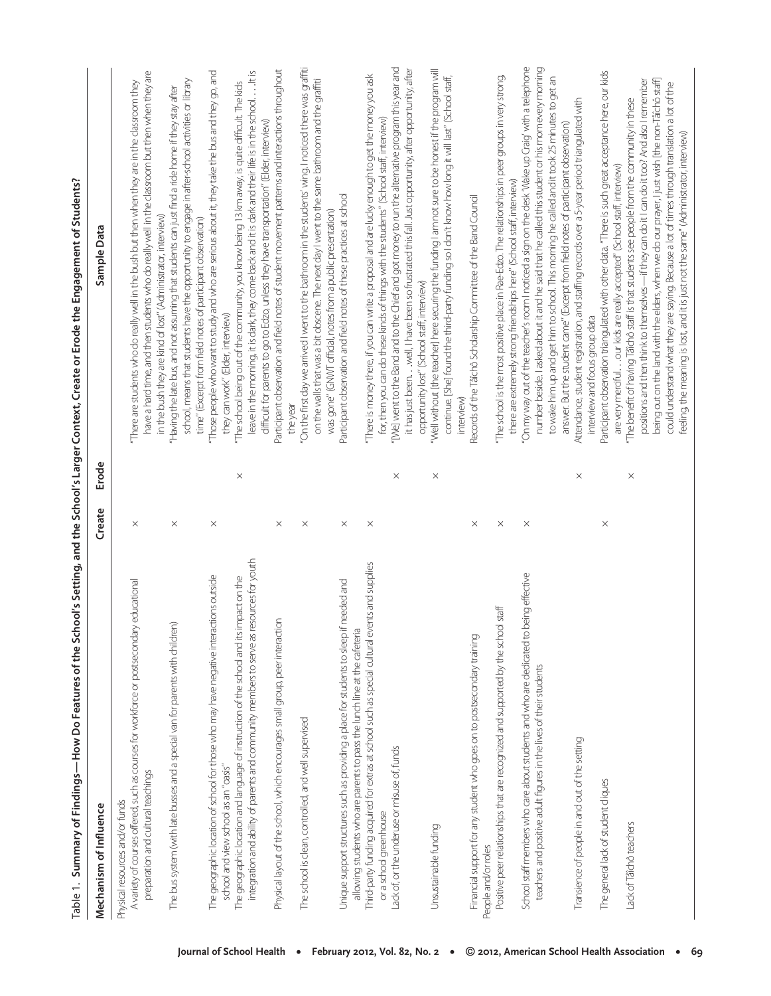| יים השנויים לבווי של הסי<br>IING SID II DO II DO II DO II DO II DO II<br>chinnin in Alminian<br>$\frac{1}{5}$                                                                                                              | יפטו     |          | strumbard in the property been as a boom in<br>Dipul) ごくリコニフノ こいつこつ c                                                                                                                                                                                                                                                                                                                                                                                                                       |
|----------------------------------------------------------------------------------------------------------------------------------------------------------------------------------------------------------------------------|----------|----------|---------------------------------------------------------------------------------------------------------------------------------------------------------------------------------------------------------------------------------------------------------------------------------------------------------------------------------------------------------------------------------------------------------------------------------------------------------------------------------------------|
| Mechanism of Influence                                                                                                                                                                                                     | Create   | Erode    | Sample Data                                                                                                                                                                                                                                                                                                                                                                                                                                                                                 |
| educational<br>A variety of courses offered, such as courses for workforce or postsecondary<br>preparation and cultural teachings<br>Physical resources and/or funds                                                       | $\times$ |          | have a hard time, and then students who do really well in the classroom but then when they are<br>There are students who do really well in the bush but then when they are in the classroom they<br>in the bush they are kind of lost" (Administrator, interview)                                                                                                                                                                                                                           |
| The bus system (with late busses and a special van for parents with children                                                                                                                                               | ×        |          | school, means that students have the opportunity to engage in after-school activities or library<br>"Having the late bus, and not assuming that students can just find a ride home if they stay after                                                                                                                                                                                                                                                                                       |
| The geographic location of school for those who may have negative interactions outside                                                                                                                                     | $\times$ |          | Those people who want to study and who are serious about it, they take the bus and they go, and<br>time" (Excerpt from field notes of participant observation)                                                                                                                                                                                                                                                                                                                              |
| integration and ability of parents and community members to serve as resources for youth<br>The geographic location and language of instruction of the school and its impact on the<br>school and viewschool as an "oasis" |          | $\times$ | leave in the morning, it is dark, they come back and it is dark and their life is in the school It is<br>"The school being out of the community, you know being 13 km away, is quite difficult. The kids<br>they can work" (Elder, interview)                                                                                                                                                                                                                                               |
| Physical layout of the school, which encourages small group, peer interaction                                                                                                                                              | $\times$ |          | Participant observation and field notes of student movement patterns and interactions throughout<br>difficult for parents to go to Edzo, unless they have transportation" (Elder, interview)                                                                                                                                                                                                                                                                                                |
| The school is dean, controlled, and well supervised                                                                                                                                                                        | ×        |          | "On the first day we arrived I went to the bathroom in the students' wing. I noticed there was graffiti<br>on the walls that was a bit obscene. The next day I went to the same bathroom and the graffiti<br>was gone" (GNWT official, notes from a public presentation)<br>the year                                                                                                                                                                                                        |
| Unique support structures such as providing a place for students to sleep if needed and<br>allowing students who are parents to pass the lunch line at the cafeteria                                                       | $\times$ |          | Participant observation and field notes of these practices at school                                                                                                                                                                                                                                                                                                                                                                                                                        |
| Third-party funding acquired for extras at school such as special cultural events and supplies<br>Lack of, or the underuse or misuse of, funds<br>or a school greenhouse                                                   | $\times$ | $\times$ | "[We] went to the Band and to the Chief and got money to run the alternative program this year and<br>"There is money there, if you can write a proposal and are lucky enough to get the money you ask<br>for, then you can do these kinds of things with the students" (School staff, interview)                                                                                                                                                                                           |
|                                                                                                                                                                                                                            |          |          | it has just been. well, I have been so frustrated this fall. Just opportunity, after opportunity, after<br>opportunity lost" (School staff, interview)                                                                                                                                                                                                                                                                                                                                      |
| Unsustainable funding                                                                                                                                                                                                      |          | $\times$ | 'Well without [the teacher] here securing the funding I am not sure to be honest if the program will<br>continue. [She] found the third-party funding so I don't know how long it will last" (School staff,<br>interview)                                                                                                                                                                                                                                                                   |
| Financial support for any student who goes on to postsecondary training<br>People and/or roles                                                                                                                             | $\times$ |          | Records of the Tâichô Scholarship Committee of the Band Council                                                                                                                                                                                                                                                                                                                                                                                                                             |
| staff<br>Positive peer relationships that are recognized and supported by the school                                                                                                                                       | ×        |          | "The school is the most positive place in Rae-Edzo. The relationships in peer groups in very strong,<br>there are extremely strong friendships here" (School staff, interview)                                                                                                                                                                                                                                                                                                              |
| School staff members who care about students and who are dedicated to being effective<br>teachers and positive adult figures in the lives of their students                                                                | $\times$ |          | "On my way out of the teacher's room I noticed a sign on the desk 'Wake up Craig' with a telephone<br>number beside. I asked about it and he said that he called this student or his mom every morning<br>to wake him up and get him to school. This morning he called and it took 25 minutes to get an<br>answer. But the student came" (Excerpt from field notes of participant observation)                                                                                              |
| Transience of people in and out of the setting                                                                                                                                                                             |          | ×        | Attendance, student registration, and staffing records over a 5-year period triangulated with<br>interview and focus group data                                                                                                                                                                                                                                                                                                                                                             |
| The general lack of student cliques                                                                                                                                                                                        | $\times$ |          | Participant observation triangulated with other data. "There is such great acceptance here, our kids<br>are very merciful our kids are really accepted" (School staff, interview)                                                                                                                                                                                                                                                                                                           |
| Lack of Tâichô teachers                                                                                                                                                                                                    |          | ×        | being out on the land with the elders, when we do our prayer, I just wish [the non-Tâichô staff]<br>positions and then think to themselves-if they can do it I can do it too? And also I remember<br>could understand what they are saying. Because a lot of times through translation a lot of the<br>"The benefit of having Tåichô staff is that students see people from the community in these<br>feeling, the meaning is lost, and it is just not the same" (Administrator, interview) |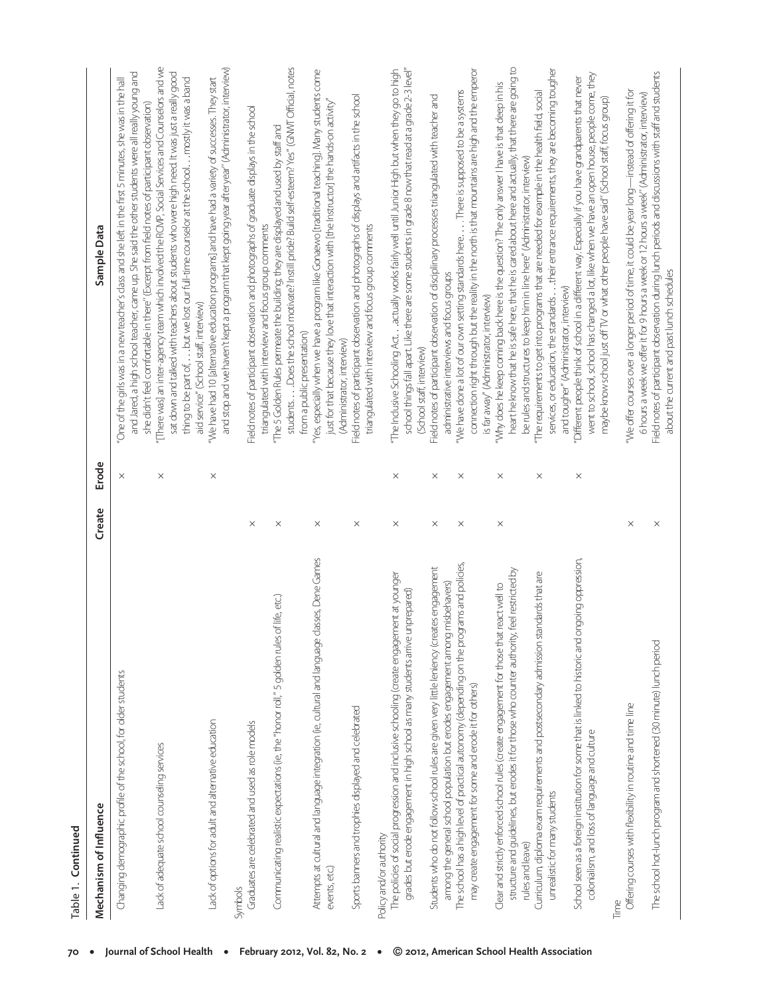| Mechanism of Influence                                                                                                                                                                                            | Create   | Erode    | Sample Data                                                                                                                                                                                                                                                                                                                                      |
|-------------------------------------------------------------------------------------------------------------------------------------------------------------------------------------------------------------------|----------|----------|--------------------------------------------------------------------------------------------------------------------------------------------------------------------------------------------------------------------------------------------------------------------------------------------------------------------------------------------------|
| Changing demographic profile of the school, for older students                                                                                                                                                    |          | $\times$ | and Jared, a high school teacher, came up. She said the other students were all really young and<br>'One of the girls was in a new teacher's class and she left in the first 5 minutes, she was in the hall                                                                                                                                      |
| Lack of adequate school counseling services                                                                                                                                                                       |          | ×        | [There was] an inter-agency team which involved the RCMP, Social Services and Counselors and we<br>sat down and talked with teachers about students who were high need. It was just a really good<br>she didn't feel comfortable in there" (Excerpt from field notes of participant observation)                                                 |
| Lack of options for adult and alternative education                                                                                                                                                               |          | ×        | and stop and we haven't kept a program that kept going year after year" (Administrator, interview)<br>"We have had 10 [alternative education programs] and have had a variety of successes. They start<br>thing to be part of,  but we lost our full-time counselor at the school mostly it was a band<br>aid service" (School staff, interview) |
| Graduates are celebrated and used as role models<br>Symbols                                                                                                                                                       | $\times$ |          | Field notes of participant observation and photographs of graduate displays in the school                                                                                                                                                                                                                                                        |
| Communicating realistic expectations (ie, the "honor roll," 5 golden rules of life, etc.)                                                                                                                         | $\times$ |          | students. Does the school motivate? Instill pride? Build self-esteem? Yes" (GNWT Official, notes<br>"The 5 Golden Rules permeate the building; they are displayed and used by staff and<br>triangulated with interview and focus group comments                                                                                                  |
| Attempts at cultural and language integration (ie, cultural and language classes, Dene Games<br>events, etc.)                                                                                                     | $\times$ |          | "Yes, especially when we have a program like Gonaewo [traditional teaching]. Many students come<br>just for that because they love that interaction with [the Instructor] the hands-on activity"<br>from a public presentation)                                                                                                                  |
| Sports banners and trophies displayed and celebrated                                                                                                                                                              | $\times$ |          | Field notes of participant observation and photographs of displays and artifacts in the school<br>triangulated with interview and focus group comments<br>(Administrator, interview)                                                                                                                                                             |
| The policies of social progression and inclusive schooling (create engagement at younger<br>grades but erode engagement in high school as many students arrive unprepared)<br>Policy and/or authority             | $\times$ | $\times$ | school things fall apart. Like there are some students in grade 8 now that read at a grade 2-3 level"<br>The Inclusive Schooling Act. actually works fairly well until Junior High but when they go to high<br>(School staff, interview)                                                                                                         |
| Students who do not follow school rules are given very little leniency (creates engagement<br>among the general school population but erodes engagement among misbehavers)                                        | $\times$ | $\times$ | Field notes of participant observation of disciplinary processes triangulated with teacher and<br>administrative interviews and focus groups                                                                                                                                                                                                     |
| The school has a high level of practical autonomy (depending on the programs and policies,<br>may create engagement for some and erode it for others)                                                             | $\times$ | $\times$ | connection right through but the reality in the north is that mountains are high and the emperor<br>"We have done a lot of our own setting standards here There is supposed to be a systems<br>is far away" (Administrator, interview)                                                                                                           |
| feel restricted by<br>react well to<br>Clear and strictly enforced school rules (create engagement for those that<br>structure and guidelines, but erodes it for those who counter authority,<br>rules and leave) | $\times$ | $\times$ | heart he know that he is safe here, that he is cared about here and actually, that there are going to<br>'Why does he keep coming back here is the question? The only answer I have is that deep in his<br>be rules and structures to keep him in line here" (Administrator, interview)                                                          |
| Curriculum, diploma exam requirements and postsecondary admission standards that are<br>unrealistic for many students                                                                                             |          | $\times$ | services, or education, the standards their entrance requirements, they are becoming tougher<br>The requirements to get into programs that are needed for example in the health field, social<br>and tougher" (Administrator, interview)                                                                                                         |
| School seen as a foreign institution for some that is linked to historic and ongoing oppression,<br>colonialism, and loss of language and culture<br>Time                                                         |          | ×        | went to school, school has changed a lot, like when we have an open house, people come, they<br>"Different people think of school in a different way. Especially if you have grandparents that never<br>maybe know school just off TV or what other people have said" (School staff, focus group)                                                |
| Offering courses with flexibility in routine and time line                                                                                                                                                        | $\times$ |          | "We offer courses over a longer period of time, it could be year long—instead of offering it for<br>6 hours a week we offer it for 9 hours a week or 12 hours a week" (Administrator, interview)                                                                                                                                                 |
| The school hot-lunch program and shortened (30 minute) lunch period                                                                                                                                               | $\times$ |          | Field notes of participant observation during lunch periods and discussions with staff and students<br>about the current and past lunch schedules                                                                                                                                                                                                |

## **70** • **Journal of School Health** • **February 2012, Vol. 82, No. 2** • © **2012, American School Health Association**

Table 1. Continued Table 1. **Continued**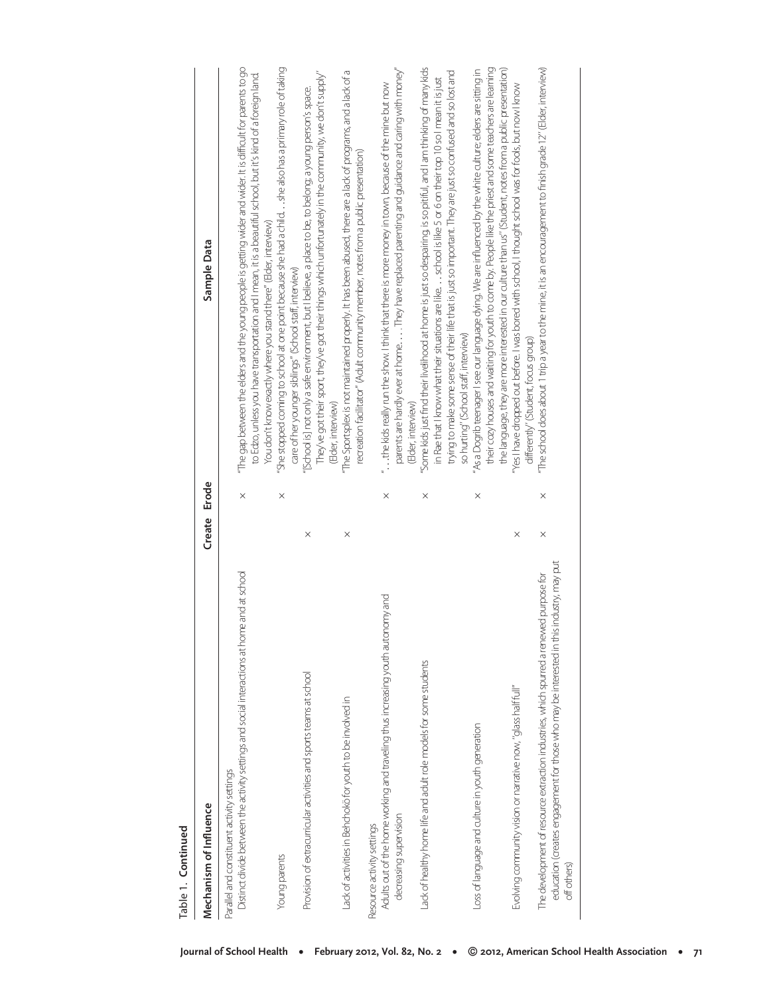| Create Erode<br>$\times$<br>Distinct divide between the activity settings and social interactions at home and at school<br>Parallel and constituent activity settings<br>Mechanism of Influence                          |                                                                                                                                                                                                                                                                                                                                                                                     |
|--------------------------------------------------------------------------------------------------------------------------------------------------------------------------------------------------------------------------|-------------------------------------------------------------------------------------------------------------------------------------------------------------------------------------------------------------------------------------------------------------------------------------------------------------------------------------------------------------------------------------|
|                                                                                                                                                                                                                          | Sample Data                                                                                                                                                                                                                                                                                                                                                                         |
|                                                                                                                                                                                                                          | "The gap between the elders and the young people is getting wider and wider. It is difficult for parents to go<br>to Edzo, unless you have transportation and I mean, it is a beautiful school, but it's kind of a foreign land.                                                                                                                                                    |
| $\times$<br>Young parents                                                                                                                                                                                                | "She stopped coming to school at one point because she had a child. she also has a primary role of taking<br>You don't know exactly where you stand there" (Elder, interview)                                                                                                                                                                                                       |
| $\times$<br>Provision of extracurricular activities and sports teams at school                                                                                                                                           | They've got their sport, they've got their things which unfortunately in the community, we don't supply''<br>"[School is] not only a safe environment, but I believe, a place to be, to belong; a young person's space.<br>care of her younger siblings" (School staff, interview)                                                                                                  |
| $\times$<br>Lack of activities in Behchokö for youth to be involved in                                                                                                                                                   | "The Sportsplex is not maintained properly. It has been abused, there are a lack of programs, and a lack of a<br>recreation facilitator" (Adult community member, notes from a public presentation)<br>(Elder, interview)                                                                                                                                                           |
| $\times$<br>Adults out of the home working and traveling thus increasing youth autonomy and<br>decreasing supervision<br>Resource activity settings                                                                      | parents are hardly ever at home. They have replaced parenting and guidance and caring with money"<br>" the kids really run the show. I think that there is more money in town, because of the mine but now                                                                                                                                                                          |
| ×<br>Lack of healthy home life and adult role models for some students                                                                                                                                                   | "Some kids just find their livelihood at home is just so despairing, is so pitiful, and I am thinking of many kids<br>in Rae that I know what their situations are like. school is like 5 or 6 on their top 10 so I mean it is just<br>(Elder, interview)                                                                                                                           |
| ×<br>Loss of language and culture in youth generation                                                                                                                                                                    | their cozy houses and waiting for youth to come by. People like the priest and some teachers are learning<br>"As a Dogrib teenager I see our language dying. We are influenced by the white culture; elders are sitting in<br>trying to make some sense of their life that is just so important. They are just so confused and so lost and<br>so hurting" (School staff, interview) |
| $\times$<br>Evolving community vision or narrative now, "glass half full"                                                                                                                                                | the language, they are more interested in our culture than us'' (Student, notes from a public presentation)<br>"Yes I have dropped out before. I was bored with school, I thought school was for fools, but now I know<br>differently" (Student, focus group)                                                                                                                       |
| $\times$<br>$\times$<br>education (creates engagement for those who may be interested in this industry, may put<br>The development of resource extraction industries, which spurred a renewed purpose for<br>off others) | "The school does about 1 trip a year to the mine, it is an encouragement to finish grade 12" (Elder, interview)                                                                                                                                                                                                                                                                     |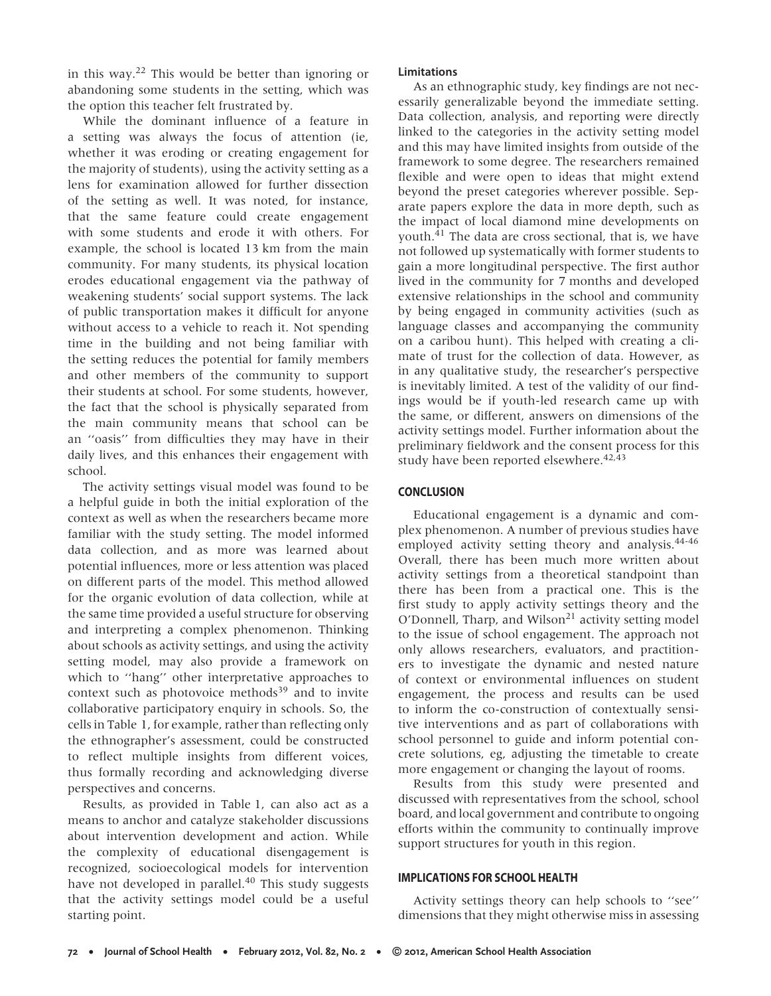in this way. $22$  This would be better than ignoring or abandoning some students in the setting, which was the option this teacher felt frustrated by.

While the dominant influence of a feature in a setting was always the focus of attention (ie, whether it was eroding or creating engagement for the majority of students), using the activity setting as a lens for examination allowed for further dissection of the setting as well. It was noted, for instance, that the same feature could create engagement with some students and erode it with others. For example, the school is located 13 km from the main community. For many students, its physical location erodes educational engagement via the pathway of weakening students' social support systems. The lack of public transportation makes it difficult for anyone without access to a vehicle to reach it. Not spending time in the building and not being familiar with the setting reduces the potential for family members and other members of the community to support their students at school. For some students, however, the fact that the school is physically separated from the main community means that school can be an ''oasis'' from difficulties they may have in their daily lives, and this enhances their engagement with school.

The activity settings visual model was found to be a helpful guide in both the initial exploration of the context as well as when the researchers became more familiar with the study setting. The model informed data collection, and as more was learned about potential influences, more or less attention was placed on different parts of the model. This method allowed for the organic evolution of data collection, while at the same time provided a useful structure for observing and interpreting a complex phenomenon. Thinking about schools as activity settings, and using the activity setting model, may also provide a framework on which to ''hang'' other interpretative approaches to context such as photovoice methods $39$  and to invite collaborative participatory enquiry in schools. So, the cells in Table 1, for example, rather than reflecting only the ethnographer's assessment, could be constructed to reflect multiple insights from different voices, thus formally recording and acknowledging diverse perspectives and concerns.

Results, as provided in Table 1, can also act as a means to anchor and catalyze stakeholder discussions about intervention development and action. While the complexity of educational disengagement is recognized, socioecological models for intervention have not developed in parallel. $40$  This study suggests that the activity settings model could be a useful starting point.

### **Limitations**

As an ethnographic study, key findings are not necessarily generalizable beyond the immediate setting. Data collection, analysis, and reporting were directly linked to the categories in the activity setting model and this may have limited insights from outside of the framework to some degree. The researchers remained flexible and were open to ideas that might extend beyond the preset categories wherever possible. Separate papers explore the data in more depth, such as the impact of local diamond mine developments on youth.<sup>41</sup> The data are cross sectional, that is, we have not followed up systematically with former students to gain a more longitudinal perspective. The first author lived in the community for 7 months and developed extensive relationships in the school and community by being engaged in community activities (such as language classes and accompanying the community on a caribou hunt). This helped with creating a climate of trust for the collection of data. However, as in any qualitative study, the researcher's perspective is inevitably limited. A test of the validity of our findings would be if youth-led research came up with the same, or different, answers on dimensions of the activity settings model. Further information about the preliminary fieldwork and the consent process for this study have been reported elsewhere. $42,43$ 

## **CONCLUSION**

Educational engagement is a dynamic and complex phenomenon. A number of previous studies have employed activity setting theory and analysis.<sup>44-46</sup> Overall, there has been much more written about activity settings from a theoretical standpoint than there has been from a practical one. This is the first study to apply activity settings theory and the O'Donnell, Tharp, and Wilson<sup>21</sup> activity setting model to the issue of school engagement. The approach not only allows researchers, evaluators, and practitioners to investigate the dynamic and nested nature of context or environmental influences on student engagement, the process and results can be used to inform the co-construction of contextually sensitive interventions and as part of collaborations with school personnel to guide and inform potential concrete solutions, eg, adjusting the timetable to create more engagement or changing the layout of rooms.

Results from this study were presented and discussed with representatives from the school, school board, and local government and contribute to ongoing efforts within the community to continually improve support structures for youth in this region.

#### **IMPLICATIONS FOR SCHOOL HEALTH**

Activity settings theory can help schools to ''see'' dimensions that they might otherwise miss in assessing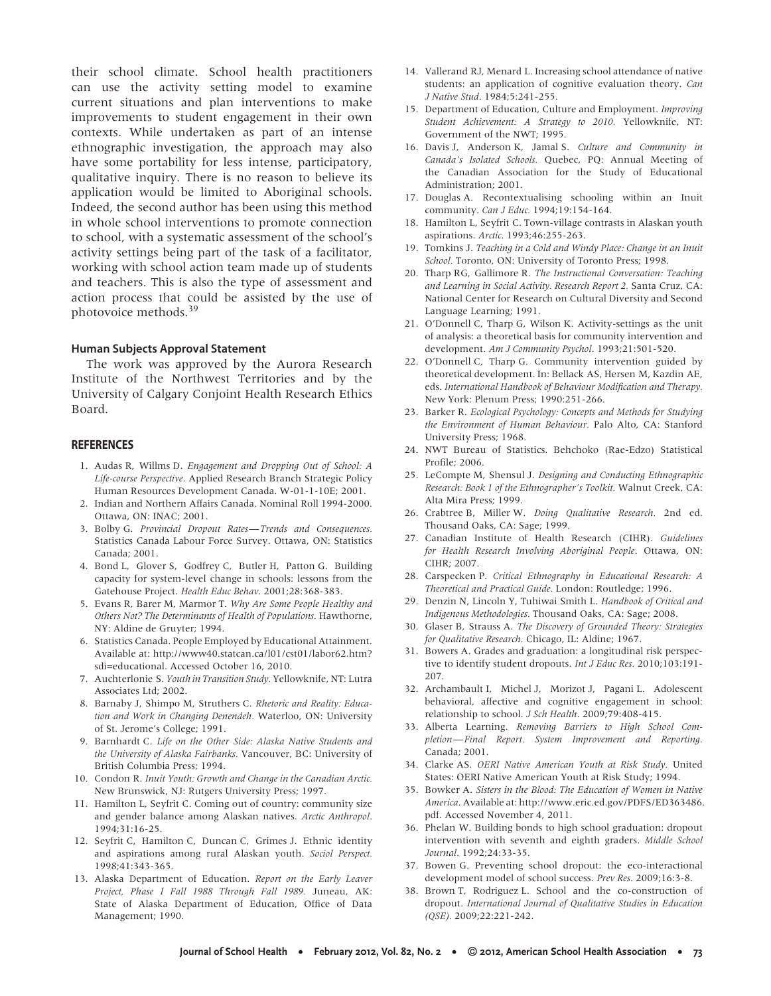their school climate. School health practitioners can use the activity setting model to examine current situations and plan interventions to make improvements to student engagement in their own contexts. While undertaken as part of an intense ethnographic investigation, the approach may also have some portability for less intense, participatory, qualitative inquiry. There is no reason to believe its application would be limited to Aboriginal schools. Indeed, the second author has been using this method in whole school interventions to promote connection to school, with a systematic assessment of the school's activity settings being part of the task of a facilitator, working with school action team made up of students and teachers. This is also the type of assessment and action process that could be assisted by the use of photovoice methods.<sup>39</sup>

#### **Human Subjects Approval Statement**

The work was approved by the Aurora Research Institute of the Northwest Territories and by the University of Calgary Conjoint Health Research Ethics Board.

#### **REFERENCES**

- 1. Audas R, Willms D. *Engagement and Dropping Out of School: A Life-course Perspective*. Applied Research Branch Strategic Policy Human Resources Development Canada. W-01-1-10E; 2001.
- 2. Indian and Northern Affairs Canada. Nominal Roll 1994-2000. Ottawa, ON: INAC; 2001.
- 3. Bolby G. *Provincial Dropout Rates—Trends and Consequences.* Statistics Canada Labour Force Survey. Ottawa, ON: Statistics Canada; 2001.
- 4. Bond L, Glover S, Godfrey C, Butler H, Patton G. Building capacity for system-level change in schools: lessons from the Gatehouse Project. *Health Educ Behav*. 2001;28:368-383.
- 5. Evans R, Barer M, Marmor T. *Why Are Some People Healthy and Others Not? The Determinants of Health of Populations.* Hawthorne, NY: Aldine de Gruyter; 1994.
- 6. Statistics Canada. People Employed by Educational Attainment. Available at: http://www40.statcan.ca/l01/cst01/labor62.htm? sdi=educational. Accessed October 16, 2010.
- 7. Auchterlonie S. *Youth in Transition Study.* Yellowknife, NT: Lutra Associates Ltd; 2002.
- 8. Barnaby J, Shimpo M, Struthers C. *Rhetoric and Reality: Education and Work in Changing Denendeh.* Waterloo, ON: University of St. Jerome's College; 1991.
- 9. Barnhardt C. *Life on the Other Side: Alaska Native Students and the University of Alaska Fairbanks.* Vancouver, BC: University of British Columbia Press; 1994.
- 10. Condon R. *Inuit Youth: Growth and Change in the Canadian Arctic.* New Brunswick, NJ: Rutgers University Press; 1997.
- 11. Hamilton L, Seyfrit C. Coming out of country: community size and gender balance among Alaskan natives. *Arctic Anthropol*. 1994;31:16-25.
- 12. Seyfrit C, Hamilton C, Duncan C, Grimes J. Ethnic identity and aspirations among rural Alaskan youth. *Sociol Perspect.* 1998;41:343-365.
- 13. Alaska Department of Education. *Report on the Early Leaver Project, Phase I Fall 1988 Through Fall 1989.* Juneau, AK: State of Alaska Department of Education, Office of Data Management; 1990.
- 14. Vallerand RJ, Menard L. Increasing school attendance of native students: an application of cognitive evaluation theory. *Can J Native Stud*. 1984;5:241-255.
- 15. Department of Education, Culture and Employment. *Improving Student Achievement: A Strategy to 2010.* Yellowknife, NT: Government of the NWT; 1995.
- 16. Davis J, Anderson K, Jamal S. *Culture and Community in Canada's Isolated Schools.* Quebec, PQ: Annual Meeting of the Canadian Association for the Study of Educational Administration; 2001.
- 17. Douglas A. Recontextualising schooling within an Inuit community. *Can J Educ.* 1994;19:154-164.
- 18. Hamilton L, Seyfrit C. Town-village contrasts in Alaskan youth aspirations. *Arctic*. 1993;46:255-263.
- 19. Tomkins J. *Teaching in a Cold and Windy Place: Change in an Inuit School.* Toronto, ON: University of Toronto Press; 1998.
- 20. Tharp RG, Gallimore R. *The Instructional Conversation: Teaching and Learning in Social Activity. Research Report 2.* Santa Cruz, CA: National Center for Research on Cultural Diversity and Second Language Learning; 1991.
- 21. O'Donnell C, Tharp G, Wilson K. Activity-settings as the unit of analysis: a theoretical basis for community intervention and development. *Am J Community Psychol*. 1993;21:501-520.
- 22. O'Donnell C, Tharp G. Community intervention guided by theoretical development. In: Bellack AS, Hersen M, Kazdin AE, eds. *International Handbook of Behaviour Modification and Therapy.* New York: Plenum Press; 1990:251-266.
- 23. Barker R. *Ecological Psychology: Concepts and Methods for Studying the Environment of Human Behaviour.* Palo Alto, CA: Stanford University Press; 1968.
- 24. NWT Bureau of Statistics. Behchoko (Rae-Edzo) Statistical Profile; 2006.
- 25. LeCompte M, Shensul J. *Designing and Conducting Ethnographic Research: Book 1 of the Ethnographer's Toolkit.* Walnut Creek, CA: Alta Mira Press; 1999.
- 26. Crabtree B, Miller W. *Doing Qualitative Research.* 2nd ed. Thousand Oaks, CA: Sage; 1999.
- 27. Canadian Institute of Health Research (CIHR). *Guidelines for Health Research Involving Aboriginal People*. Ottawa, ON: CIHR; 2007.
- 28. Carspecken P. *Critical Ethnography in Educational Research: A Theoretical and Practical Guide.* London: Routledge; 1996.
- 29. Denzin N, Lincoln Y, Tuhiwai Smith L. *Handbook of Critical and Indigenous Methodologies.* Thousand Oaks, CA: Sage; 2008.
- 30. Glaser B, Strauss A. *The Discovery of Grounded Theory: Strategies for Qualitative Research.* Chicago, IL: Aldine; 1967.
- 31. Bowers A. Grades and graduation: a longitudinal risk perspective to identify student dropouts. *Int J Educ Res.* 2010;103:191- 207.
- 32. Archambault I, Michel J, Morizot J, Pagani L. Adolescent behavioral, affective and cognitive engagement in school: relationship to school. *J Sch Health*. 2009;79:408-415.
- 33. Alberta Learning. *Removing Barriers to High School Completion—Final Report. System Improvement and Reporting*. Canada; 2001.
- 34. Clarke AS. *OERI Native American Youth at Risk Study.* United States: OERI Native American Youth at Risk Study; 1994.
- 35. Bowker A. *Sisters in the Blood: The Education of Women in Native America*. Available at: http://www.eric.ed.gov/PDFS/ED363486. pdf. Accessed November 4, 2011.
- 36. Phelan W. Building bonds to high school graduation: dropout intervention with seventh and eighth graders. *Middle School Journal*. 1992;24:33-35.
- 37. Bowen G. Preventing school dropout: the eco-interactional development model of school success. *Prev Res*. 2009;16:3-8.
- 38. Brown T, Rodriguez L. School and the co-construction of dropout. *International Journal of Qualitative Studies in Education (QSE).* 2009;22:221-242.